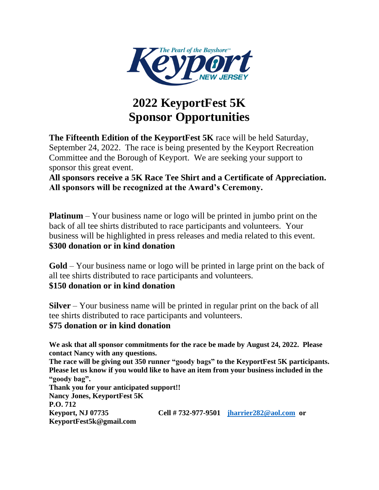

## **2022 KeyportFest 5K Sponsor Opportunities**

**The Fifteenth Edition of the KeyportFest 5K** race will be held Saturday, September 24, 2022. The race is being presented by the Keyport Recreation Committee and the Borough of Keyport. We are seeking your support to sponsor this great event.

**All sponsors receive a 5K Race Tee Shirt and a Certificate of Appreciation. All sponsors will be recognized at the Award's Ceremony.**

**Platinum** – Your business name or logo will be printed in jumbo print on the back of all tee shirts distributed to race participants and volunteers. Your business will be highlighted in press releases and media related to this event. **\$300 donation or in kind donation**

**Gold** – Your business name or logo will be printed in large print on the back of all tee shirts distributed to race participants and volunteers. **\$150 donation or in kind donation**

**Silver** – Your business name will be printed in regular print on the back of all tee shirts distributed to race participants and volunteers. **\$75 donation or in kind donation**

**We ask that all sponsor commitments for the race be made by August 24, 2022. Please contact Nancy with any questions.** 

**The race will be giving out 350 runner "goody bags" to the KeyportFest 5K participants. Please let us know if you would like to have an item from your business included in the "goody bag". Thank you for your anticipated support!!** 

**Nancy Jones, KeyportFest 5K P.O. 712 Keyport, NJ 07735 Cell # 732-977-9501 [jharrier282@aol.com](mailto:jharrier282@aol.com) or KeyportFest5k@gmail.com**